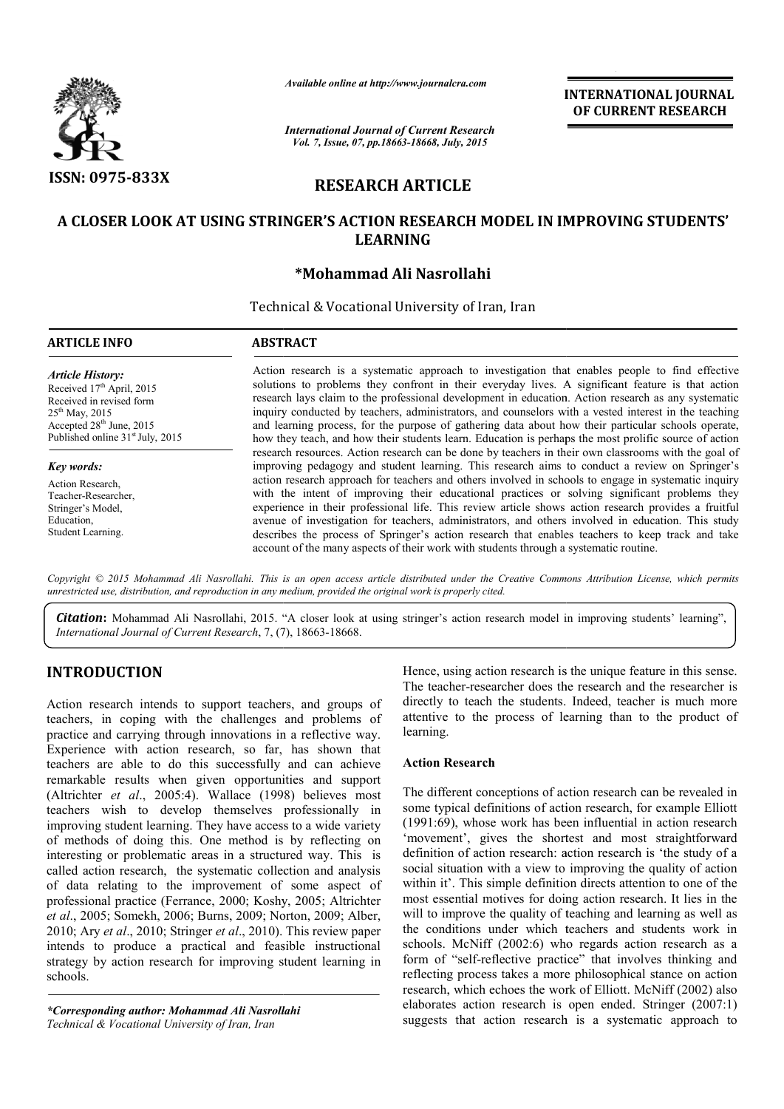

*Available online at http://www.journalcra.com*

# RESEARCH ARTICLE

## A CLOSER LOOK AT USING STRINGER'S ACTION RESEARCH MODEL IN IMPROVING STUDENTS' IMPROVING STUDENTS' LEARNING

## \*Mohammad Ali Nasrollahi

|                                                                                                                                                                                                                                                                                                                                                                                                                                                                                                                                                                                                                                                                                                                                                                                                                                                                                                                                                                                                                                                                                                                                                                                                                                                       | - главноге опите иг пир.//www.journatera.com<br><b>International Journal of Current Research</b><br>Vol. 7, Issue, 07, pp.18663-18668, July, 2015                                                                                                                                                                                                                                                                                                                                                                                                                                                                                                                                                                                                                                                                                                                                                                                                                                                                                                                                                                                                                                                                                                                                                                                                                                                                                                                |                                     | <b>INTERNATIONAL JOURNAL</b><br>OF CURRENT RESEARCH                                                                                                                                                                                                                                                                                                                                                                                                                                                                                                                                                                                                                                                                                                                                                                                                                                                                                                                                                                                                                                                                                                                                                                                                                                                                                                     |  |                     |                 |                                                 |  |
|-------------------------------------------------------------------------------------------------------------------------------------------------------------------------------------------------------------------------------------------------------------------------------------------------------------------------------------------------------------------------------------------------------------------------------------------------------------------------------------------------------------------------------------------------------------------------------------------------------------------------------------------------------------------------------------------------------------------------------------------------------------------------------------------------------------------------------------------------------------------------------------------------------------------------------------------------------------------------------------------------------------------------------------------------------------------------------------------------------------------------------------------------------------------------------------------------------------------------------------------------------|------------------------------------------------------------------------------------------------------------------------------------------------------------------------------------------------------------------------------------------------------------------------------------------------------------------------------------------------------------------------------------------------------------------------------------------------------------------------------------------------------------------------------------------------------------------------------------------------------------------------------------------------------------------------------------------------------------------------------------------------------------------------------------------------------------------------------------------------------------------------------------------------------------------------------------------------------------------------------------------------------------------------------------------------------------------------------------------------------------------------------------------------------------------------------------------------------------------------------------------------------------------------------------------------------------------------------------------------------------------------------------------------------------------------------------------------------------------|-------------------------------------|---------------------------------------------------------------------------------------------------------------------------------------------------------------------------------------------------------------------------------------------------------------------------------------------------------------------------------------------------------------------------------------------------------------------------------------------------------------------------------------------------------------------------------------------------------------------------------------------------------------------------------------------------------------------------------------------------------------------------------------------------------------------------------------------------------------------------------------------------------------------------------------------------------------------------------------------------------------------------------------------------------------------------------------------------------------------------------------------------------------------------------------------------------------------------------------------------------------------------------------------------------------------------------------------------------------------------------------------------------|--|---------------------|-----------------|-------------------------------------------------|--|
| <b>ISSN: 0975-833X</b><br><b>RESEARCH ARTICLE</b><br>A CLOSER LOOK AT USING STRINGER'S ACTION RESEARCH MODEL IN IMPROVING STUDENTS'<br><b>LEARNING</b><br>*Mohammad Ali Nasrollahi                                                                                                                                                                                                                                                                                                                                                                                                                                                                                                                                                                                                                                                                                                                                                                                                                                                                                                                                                                                                                                                                    |                                                                                                                                                                                                                                                                                                                                                                                                                                                                                                                                                                                                                                                                                                                                                                                                                                                                                                                                                                                                                                                                                                                                                                                                                                                                                                                                                                                                                                                                  |                                     |                                                                                                                                                                                                                                                                                                                                                                                                                                                                                                                                                                                                                                                                                                                                                                                                                                                                                                                                                                                                                                                                                                                                                                                                                                                                                                                                                         |  |                     |                 |                                                 |  |
|                                                                                                                                                                                                                                                                                                                                                                                                                                                                                                                                                                                                                                                                                                                                                                                                                                                                                                                                                                                                                                                                                                                                                                                                                                                       |                                                                                                                                                                                                                                                                                                                                                                                                                                                                                                                                                                                                                                                                                                                                                                                                                                                                                                                                                                                                                                                                                                                                                                                                                                                                                                                                                                                                                                                                  |                                     |                                                                                                                                                                                                                                                                                                                                                                                                                                                                                                                                                                                                                                                                                                                                                                                                                                                                                                                                                                                                                                                                                                                                                                                                                                                                                                                                                         |  |                     |                 | Technical & Vocational University of Iran, Iran |  |
|                                                                                                                                                                                                                                                                                                                                                                                                                                                                                                                                                                                                                                                                                                                                                                                                                                                                                                                                                                                                                                                                                                                                                                                                                                                       |                                                                                                                                                                                                                                                                                                                                                                                                                                                                                                                                                                                                                                                                                                                                                                                                                                                                                                                                                                                                                                                                                                                                                                                                                                                                                                                                                                                                                                                                  |                                     |                                                                                                                                                                                                                                                                                                                                                                                                                                                                                                                                                                                                                                                                                                                                                                                                                                                                                                                                                                                                                                                                                                                                                                                                                                                                                                                                                         |  | <b>ARTICLE INFO</b> | <b>ABSTRACT</b> |                                                 |  |
| <b>Article History:</b><br>Received 17th April, 2015<br>Received in revised form<br>$25^{th}$ May, 2015<br>Accepted 28 <sup>th</sup> June, 2015<br>Published online 31 <sup>st</sup> July, 2015<br>Key words:<br>Action Research,<br>Teacher-Researcher,<br>Stringer's Model,<br>Education,<br>Student Learning.                                                                                                                                                                                                                                                                                                                                                                                                                                                                                                                                                                                                                                                                                                                                                                                                                                                                                                                                      | Action research is a systematic approach to investigation that enables people to find effective<br>solutions to problems they confront in their everyday lives. A significant feature is that action<br>research lays claim to the professional development in education. Action research as any systematic<br>inquiry conducted by teachers, administrators, and counselors with a vested interest in the teaching<br>and learning process, for the purpose of gathering data about how their particular schools operate,<br>how they teach, and how their students learn. Education is perhaps the most prolific source of action<br>research resources. Action research can be done by teachers in their own classrooms with the goal of<br>improving pedagogy and student learning. This research aims to conduct a review on Springer's<br>action research approach for teachers and others involved in schools to engage in systematic inquiry<br>with the intent of improving their educational practices or solving significant problems they<br>experience in their professional life. This review article shows action research provides a fruitful<br>avenue of investigation for teachers, administrators, and others involved in education. This study<br>describes the process of Springer's action research that enables teachers to keep track and take<br>account of the many aspects of their work with students through a systematic routine. |                                     |                                                                                                                                                                                                                                                                                                                                                                                                                                                                                                                                                                                                                                                                                                                                                                                                                                                                                                                                                                                                                                                                                                                                                                                                                                                                                                                                                         |  |                     |                 |                                                 |  |
| unrestricted use, distribution, and reproduction in any medium, provided the original work is properly cited.<br>International Journal of Current Research, 7, (7), 18663-18668.                                                                                                                                                                                                                                                                                                                                                                                                                                                                                                                                                                                                                                                                                                                                                                                                                                                                                                                                                                                                                                                                      |                                                                                                                                                                                                                                                                                                                                                                                                                                                                                                                                                                                                                                                                                                                                                                                                                                                                                                                                                                                                                                                                                                                                                                                                                                                                                                                                                                                                                                                                  |                                     | Copyright © 2015 Mohammad Ali Nasrollahi. This is an open access article distributed under the Creative Commons Attribution License, which permits<br><b>Citation:</b> Mohammad Ali Nasrollahi, 2015. "A closer look at using stringer's action research model in improving students' learning",                                                                                                                                                                                                                                                                                                                                                                                                                                                                                                                                                                                                                                                                                                                                                                                                                                                                                                                                                                                                                                                        |  |                     |                 |                                                 |  |
| <b>INTRODUCTION</b><br>Action research intends to support teachers, and groups of<br>teachers, in coping with the challenges and problems of<br>practice and carrying through innovations in a reflective way.<br>Experience with action research, so far, has shown that<br>teachers are able to do this successfully and can achieve<br>remarkable results when given opportunities and support<br>(Altrichter et al., 2005:4). Wallace (1998) believes most<br>teachers wish to develop themselves professionally in<br>improving student learning. They have access to a wide variety<br>of methods of doing this. One method is by reflecting on<br>interesting or problematic areas in a structured way. This is<br>called action research, the systematic collection and analysis<br>of data relating to the improvement of some aspect of<br>professional practice (Ferrance, 2000; Koshy, 2005; Altrichter<br>et al., 2005; Somekh, 2006; Burns, 2009; Norton, 2009; Alber,<br>2010; Ary et al., 2010; Stringer et al., 2010). This review paper<br>intends to produce a practical and feasible instructional<br>strategy by action research for improving student learning in<br>schools.<br>*Corresponding author: Mohammad Ali Nasrollahi |                                                                                                                                                                                                                                                                                                                                                                                                                                                                                                                                                                                                                                                                                                                                                                                                                                                                                                                                                                                                                                                                                                                                                                                                                                                                                                                                                                                                                                                                  | learning.<br><b>Action Research</b> | Hence, using action research is the unique feature in this sense.<br>The teacher-researcher does the research and the researcher is<br>directly to teach the students. Indeed, teacher is much more<br>attentive to the process of learning than to the product of<br>The different conceptions of action research can be revealed in<br>some typical definitions of action research, for example Elliott<br>$(1991:69)$ , whose work has been influential in action research<br>'movement', gives the shortest and most straightforward<br>definition of action research: action research is 'the study of a<br>social situation with a view to improving the quality of action<br>within it'. This simple definition directs attention to one of the<br>most essential motives for doing action research. It lies in the<br>will to improve the quality of teaching and learning as well as<br>the conditions under which teachers and students work in<br>schools. McNiff (2002:6) who regards action research as a<br>form of "self-reflective practice" that involves thinking and<br>reflecting process takes a more philosophical stance on action<br>research, which echoes the work of Elliott. McNiff (2002) also<br>elaborates action research is open ended. Stringer (2007:1)<br>suggests that action research is a systematic approach to |  |                     |                 |                                                 |  |

## INTRODUCTION

*\*Corresponding author: Mohammad Ali Nasrollahi Technical & Vocational University of Iran, Iran*

## Action Research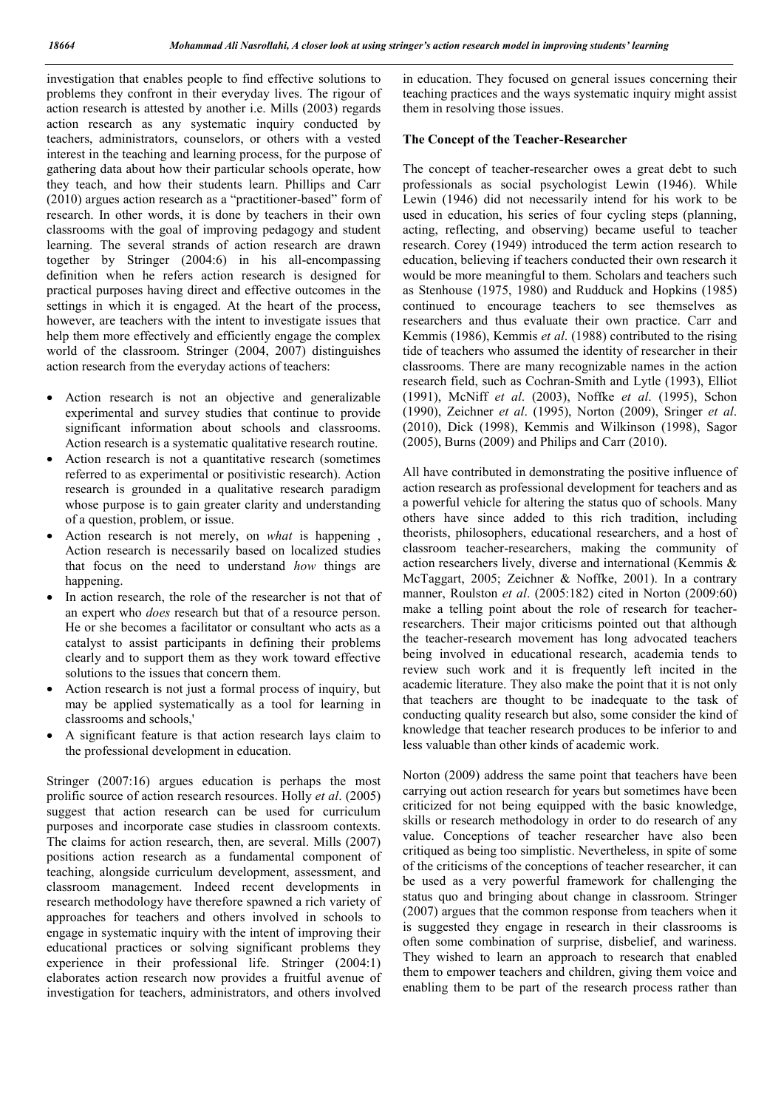investigation that enables people to find effective solutions to problems they confront in their everyday lives. The rigour of action research is attested by another i.e. Mills (2003) regards action research as any systematic inquiry conducted by teachers, administrators, counselors, or others with a vested interest in the teaching and learning process, for the purpose of gathering data about how their particular schools operate, how they teach, and how their students learn. Phillips and Carr (2010) argues action research as a "practitioner-based" form of research. In other words, it is done by teachers in their own classrooms with the goal of improving pedagogy and student learning. The several strands of action research are drawn together by Stringer (2004:6) in his all-encompassing definition when he refers action research is designed for practical purposes having direct and effective outcomes in the settings in which it is engaged. At the heart of the process, however, are teachers with the intent to investigate issues that help them more effectively and efficiently engage the complex world of the classroom. Stringer (2004, 2007) distinguishes action research from the everyday actions of teachers:

- Action research is not an objective and generalizable experimental and survey studies that continue to provide significant information about schools and classrooms. Action research is a systematic qualitative research routine.
- Action research is not a quantitative research (sometimes referred to as experimental or positivistic research). Action research is grounded in a qualitative research paradigm whose purpose is to gain greater clarity and understanding of a question, problem, or issue.
- Action research is not merely, on *what* is happening , Action research is necessarily based on localized studies that focus on the need to understand *how* things are happening.
- In action research, the role of the researcher is not that of an expert who *does* research but that of a resource person. He or she becomes a facilitator or consultant who acts as a catalyst to assist participants in defining their problems clearly and to support them as they work toward effective solutions to the issues that concern them.
- Action research is not just a formal process of inquiry, but may be applied systematically as a tool for learning in classrooms and schools,'
- A significant feature is that action research lays claim to the professional development in education.

Stringer (2007:16) argues education is perhaps the most prolific source of action research resources. Holly *et al*. (2005) suggest that action research can be used for curriculum purposes and incorporate case studies in classroom contexts. The claims for action research, then, are several. Mills (2007) positions action research as a fundamental component of teaching, alongside curriculum development, assessment, and classroom management. Indeed recent developments in research methodology have therefore spawned a rich variety of approaches for teachers and others involved in schools to engage in systematic inquiry with the intent of improving their educational practices or solving significant problems they experience in their professional life. Stringer (2004:1) elaborates action research now provides a fruitful avenue of investigation for teachers, administrators, and others involved in education. They focused on general issues concerning their teaching practices and the ways systematic inquiry might assist them in resolving those issues.

#### The Concept of the Teacher-Researcher

The concept of teacher-researcher owes a great debt to such professionals as social psychologist Lewin (1946). While Lewin (1946) did not necessarily intend for his work to be used in education, his series of four cycling steps (planning, acting, reflecting, and observing) became useful to teacher research. Corey (1949) introduced the term action research to education, believing if teachers conducted their own research it would be more meaningful to them. Scholars and teachers such as Stenhouse (1975, 1980) and Rudduck and Hopkins (1985) continued to encourage teachers to see themselves as researchers and thus evaluate their own practice. Carr and Kemmis (1986), Kemmis *et al*. (1988) contributed to the rising tide of teachers who assumed the identity of researcher in their classrooms. There are many recognizable names in the action research field, such as Cochran-Smith and Lytle (1993), Elliot (1991), McNiff *et al*. (2003), Noffke *et al*. (1995), Schon (1990), Zeichner *et al*. (1995), Norton (2009), Sringer *et al*. (2010), Dick (1998), Kemmis and Wilkinson (1998), Sagor (2005), Burns (2009) and Philips and Carr (2010).

All have contributed in demonstrating the positive influence of action research as professional development for teachers and as a powerful vehicle for altering the status quo of schools. Many others have since added to this rich tradition, including theorists, philosophers, educational researchers, and a host of classroom teacher-researchers, making the community of action researchers lively, diverse and international (Kemmis & McTaggart, 2005; Zeichner & Noffke, 2001). In a contrary manner, Roulston *et al*. (2005:182) cited in Norton (2009:60) make a telling point about the role of research for teacherresearchers. Their major criticisms pointed out that although the teacher-research movement has long advocated teachers being involved in educational research, academia tends to review such work and it is frequently left incited in the academic literature. They also make the point that it is not only that teachers are thought to be inadequate to the task of conducting quality research but also, some consider the kind of knowledge that teacher research produces to be inferior to and less valuable than other kinds of academic work.

Norton (2009) address the same point that teachers have been carrying out action research for years but sometimes have been criticized for not being equipped with the basic knowledge, skills or research methodology in order to do research of any value. Conceptions of teacher researcher have also been critiqued as being too simplistic. Nevertheless, in spite of some of the criticisms of the conceptions of teacher researcher, it can be used as a very powerful framework for challenging the status quo and bringing about change in classroom. Stringer (2007) argues that the common response from teachers when it is suggested they engage in research in their classrooms is often some combination of surprise, disbelief, and wariness. They wished to learn an approach to research that enabled them to empower teachers and children, giving them voice and enabling them to be part of the research process rather than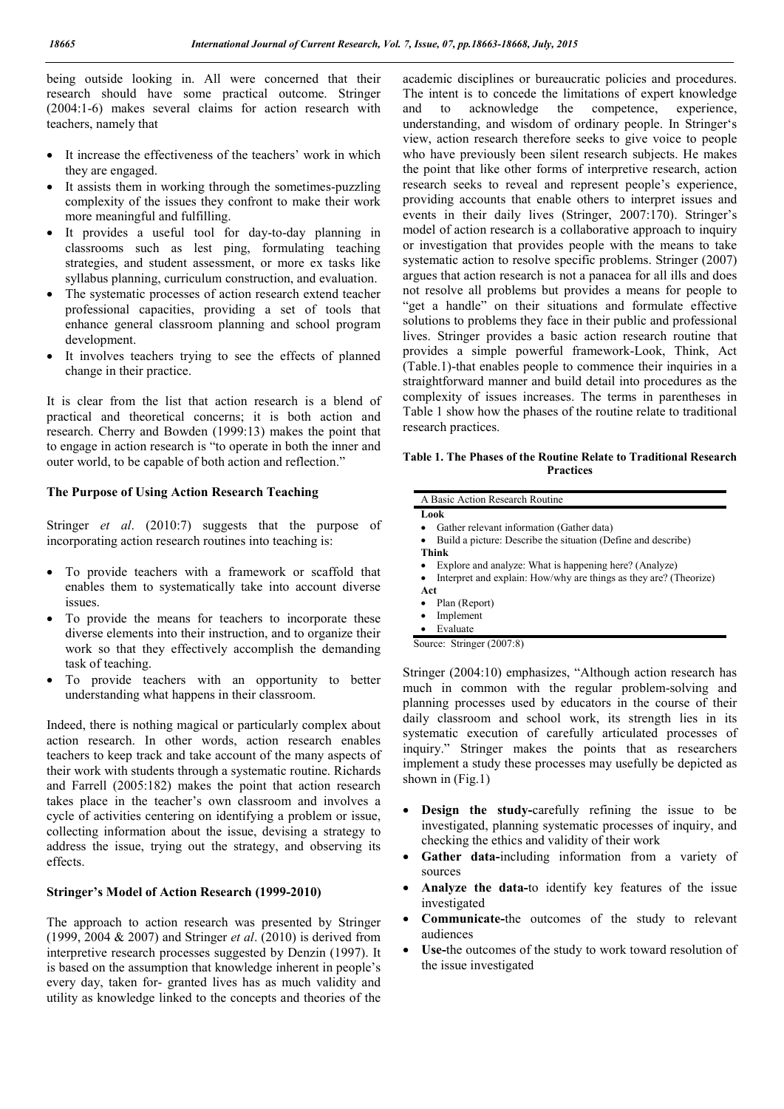being outside looking in. All were concerned that their research should have some practical outcome. Stringer (2004:1-6) makes several claims for action research with teachers, namely that

- It increase the effectiveness of the teachers' work in which they are engaged.
- It assists them in working through the sometimes-puzzling complexity of the issues they confront to make their work more meaningful and fulfilling.
- It provides a useful tool for day-to-day planning in classrooms such as lest ping, formulating teaching strategies, and student assessment, or more ex tasks like syllabus planning, curriculum construction, and evaluation.
- The systematic processes of action research extend teacher professional capacities, providing a set of tools that enhance general classroom planning and school program development.
- It involves teachers trying to see the effects of planned change in their practice.

It is clear from the list that action research is a blend of practical and theoretical concerns; it is both action and research. Cherry and Bowden (1999:13) makes the point that to engage in action research is "to operate in both the inner and outer world, to be capable of both action and reflection."

### The Purpose of Using Action Research Teaching

Stringer *et al*. (2010:7) suggests that the purpose of incorporating action research routines into teaching is:

- To provide teachers with a framework or scaffold that enables them to systematically take into account diverse issues.
- To provide the means for teachers to incorporate these diverse elements into their instruction, and to organize their work so that they effectively accomplish the demanding task of teaching.
- To provide teachers with an opportunity to better understanding what happens in their classroom.

Indeed, there is nothing magical or particularly complex about action research. In other words, action research enables teachers to keep track and take account of the many aspects of their work with students through a systematic routine. Richards and Farrell (2005:182) makes the point that action research takes place in the teacher's own classroom and involves a cycle of activities centering on identifying a problem or issue, collecting information about the issue, devising a strategy to address the issue, trying out the strategy, and observing its effects.

#### Stringer's Model of Action Research (1999-2010)

The approach to action research was presented by Stringer (1999, 2004 & 2007) and Stringer *et al*. (2010) is derived from interpretive research processes suggested by Denzin (1997). It is based on the assumption that knowledge inherent in people's every day, taken for- granted lives has as much validity and utility as knowledge linked to the concepts and theories of the academic disciplines or bureaucratic policies and procedures. The intent is to concede the limitations of expert knowledge and to acknowledge the competence, experience, understanding, and wisdom of ordinary people. In Stringer's view, action research therefore seeks to give voice to people who have previously been silent research subjects. He makes the point that like other forms of interpretive research, action research seeks to reveal and represent people's experience, providing accounts that enable others to interpret issues and events in their daily lives (Stringer, 2007:170). Stringer's model of action research is a collaborative approach to inquiry or investigation that provides people with the means to take systematic action to resolve specific problems. Stringer (2007) argues that action research is not a panacea for all ills and does not resolve all problems but provides a means for people to "get a handle" on their situations and formulate effective solutions to problems they face in their public and professional lives. Stringer provides a basic action research routine that provides a simple powerful framework-Look, Think, Act (Table.1)-that enables people to commence their inquiries in a straightforward manner and build detail into procedures as the complexity of issues increases. The terms in parentheses in Table 1 show how the phases of the routine relate to traditional research practices.

Table 1. The Phases of the Routine Relate to Traditional Research Practices

|           | Look                                                              |
|-----------|-------------------------------------------------------------------|
|           | Gather relevant information (Gather data)                         |
| ٠         | Build a picture: Describe the situation (Define and describe)     |
| Think     |                                                                   |
|           | Explore and analyze: What is happening here? (Analyze)            |
| $\bullet$ | Interpret and explain: How/why are things as they are? (Theorize) |
| Act       |                                                                   |
|           | Plan (Report)                                                     |
| ٠         | Implement                                                         |
|           | Evaluate                                                          |
|           | Source: Stringer (2007:8)                                         |

Stringer (2004:10) emphasizes, "Although action research has much in common with the regular problem-solving and planning processes used by educators in the course of their daily classroom and school work, its strength lies in its systematic execution of carefully articulated processes of inquiry." Stringer makes the points that as researchers implement a study these processes may usefully be depicted as shown in  $(Fig.1)$ 

- Design the study-carefully refining the issue to be investigated, planning systematic processes of inquiry, and checking the ethics and validity of their work
- Gather data-including information from a variety of sources
- Analyze the data-to identify key features of the issue investigated
- Communicate-the outcomes of the study to relevant audiences
- Use-the outcomes of the study to work toward resolution of the issue investigated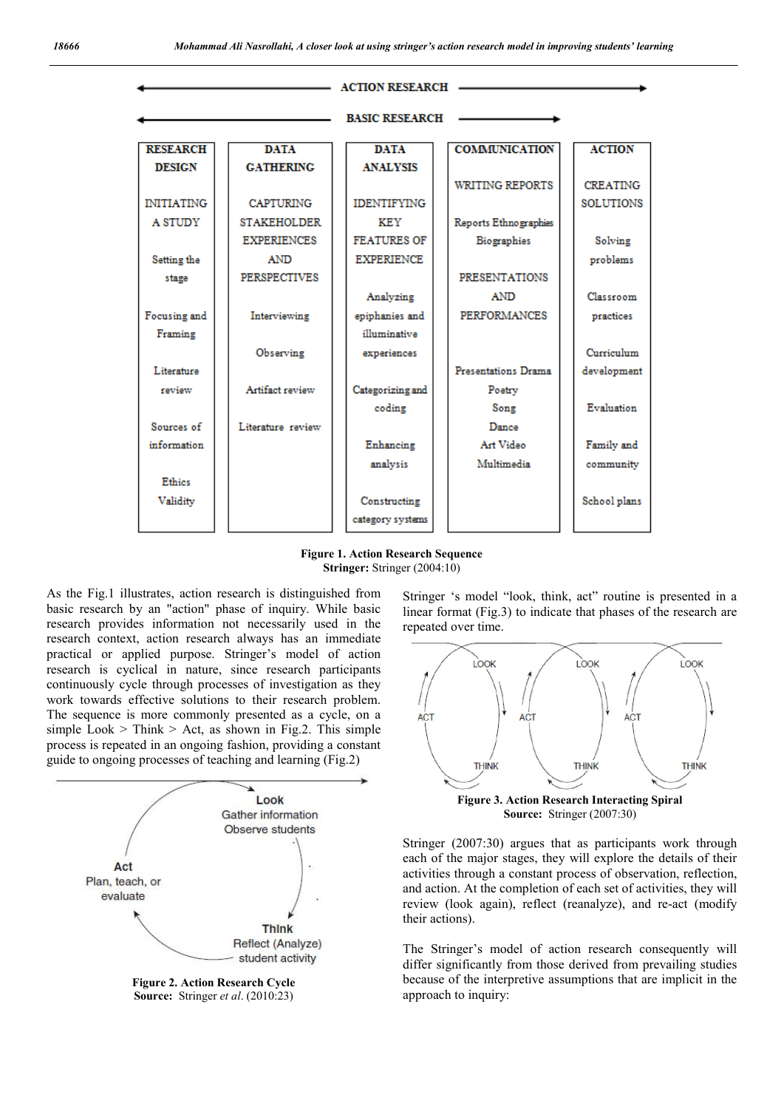

Figure 1. Action Research Sequence Stringer: Stringer (2004:10)

As the Fig.1 illustrates, action research is distinguished from basic research by an "action" phase of inquiry. While basic research provides information not necessarily used in the research context, action research always has an immediate practical or applied purpose. Stringer's model of action research is cyclical in nature, since research participants continuously cycle through processes of investigation as they work towards effective solutions to their research problem. The sequence is more commonly presented as a cycle, on a simple Look  $>$  Think  $>$  Act, as shown in Fig.2. This simple process is repeated in an ongoing fashion, providing a constant guide to ongoing processes of teaching and learning (Fig.2)



Figure 2. Action Research Cycle Source: Stringer *et al*. (2010:23)

Stringer 's model "look, think, act" routine is presented in a linear format (Fig.3) to indicate that phases of the research are repeated over time.



Source: Stringer (2007:30)

Stringer (2007:30) argues that as participants work through each of the major stages, they will explore the details of their activities through a constant process of observation, reflection, and action. At the completion of each set of activities, they will review (look again), reflect (reanalyze), and re-act (modify their actions).

The Stringer's model of action research consequently will differ significantly from those derived from prevailing studies because of the interpretive assumptions that are implicit in the approach to inquiry: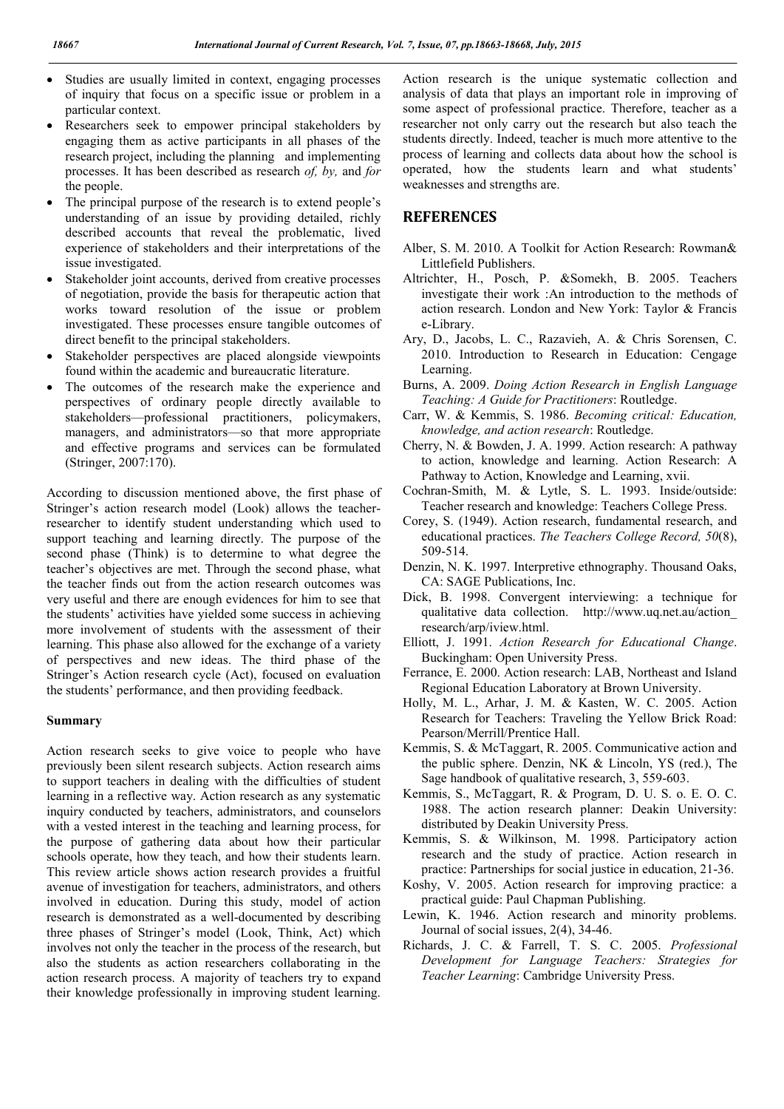- Studies are usually limited in context, engaging processes of inquiry that focus on a specific issue or problem in a particular context.
- Researchers seek to empower principal stakeholders by engaging them as active participants in all phases of the research project, including the planning and implementing processes. It has been described as research *of, by,* and *for*  the people.
- The principal purpose of the research is to extend people's understanding of an issue by providing detailed, richly described accounts that reveal the problematic, lived experience of stakeholders and their interpretations of the issue investigated.
- Stakeholder joint accounts, derived from creative processes of negotiation, provide the basis for therapeutic action that works toward resolution of the issue or problem investigated. These processes ensure tangible outcomes of direct benefit to the principal stakeholders.
- Stakeholder perspectives are placed alongside viewpoints found within the academic and bureaucratic literature.
- The outcomes of the research make the experience and perspectives of ordinary people directly available to stakeholders—professional practitioners, policymakers, managers, and administrators—so that more appropriate and effective programs and services can be formulated (Stringer, 2007:170).

According to discussion mentioned above, the first phase of Stringer's action research model (Look) allows the teacherresearcher to identify student understanding which used to support teaching and learning directly. The purpose of the second phase (Think) is to determine to what degree the teacher's objectives are met. Through the second phase, what the teacher finds out from the action research outcomes was very useful and there are enough evidences for him to see that the students' activities have yielded some success in achieving more involvement of students with the assessment of their learning. This phase also allowed for the exchange of a variety of perspectives and new ideas. The third phase of the Stringer's Action research cycle (Act), focused on evaluation the students' performance, and then providing feedback.

#### Summary

Action research seeks to give voice to people who have previously been silent research subjects. Action research aims to support teachers in dealing with the difficulties of student learning in a reflective way. Action research as any systematic inquiry conducted by teachers, administrators, and counselors with a vested interest in the teaching and learning process, for the purpose of gathering data about how their particular schools operate, how they teach, and how their students learn. This review article shows action research provides a fruitful avenue of investigation for teachers, administrators, and others involved in education. During this study, model of action research is demonstrated as a well-documented by describing three phases of Stringer's model (Look, Think, Act) which involves not only the teacher in the process of the research, but also the students as action researchers collaborating in the action research process. A majority of teachers try to expand their knowledge professionally in improving student learning.

Action research is the unique systematic collection and analysis of data that plays an important role in improving of some aspect of professional practice. Therefore, teacher as a researcher not only carry out the research but also teach the students directly. Indeed, teacher is much more attentive to the process of learning and collects data about how the school is operated, how the students learn and what students' weaknesses and strengths are.

### **REFERENCES**

- Alber, S. M. 2010. A Toolkit for Action Research: Rowman& Littlefield Publishers.
- Altrichter, H., Posch, P. &Somekh, B. 2005. Teachers investigate their work :An introduction to the methods of action research. London and New York: Taylor & Francis e-Library.
- Ary, D., Jacobs, L. C., Razavieh, A. & Chris Sorensen, C. 2010. Introduction to Research in Education: Cengage Learning.
- Burns, A. 2009. *Doing Action Research in English Language Teaching: A Guide for Practitioners*: Routledge.
- Carr, W. & Kemmis, S. 1986. *Becoming critical: Education, knowledge, and action research*: Routledge.
- Cherry, N. & Bowden, J. A. 1999. Action research: A pathway to action, knowledge and learning. Action Research: A Pathway to Action, Knowledge and Learning, xvii.
- Cochran-Smith, M. & Lytle, S. L. 1993. Inside/outside: Teacher research and knowledge: Teachers College Press.
- Corey, S. (1949). Action research, fundamental research, and educational practices. *The Teachers College Record, 50*(8), 509-514.
- Denzin, N. K. 1997. Interpretive ethnography. Thousand Oaks, CA: SAGE Publications, Inc.
- Dick, B. 1998. Convergent interviewing: a technique for qualitative data collection. http://www.uq.net.au/action\_ research/arp/iview.html.
- Elliott, J. 1991. *Action Research for Educational Change*. Buckingham: Open University Press.
- Ferrance, E. 2000. Action research: LAB, Northeast and Island Regional Education Laboratory at Brown University.
- Holly, M. L., Arhar, J. M. & Kasten, W. C. 2005. Action Research for Teachers: Traveling the Yellow Brick Road: Pearson/Merrill/Prentice Hall.
- Kemmis, S. & McTaggart, R. 2005. Communicative action and the public sphere. Denzin, NK & Lincoln, YS (red.), The Sage handbook of qualitative research, 3, 559-603.
- Kemmis, S., McTaggart, R. & Program, D. U. S. o. E. O. C. 1988. The action research planner: Deakin University: distributed by Deakin University Press.
- Kemmis, S. & Wilkinson, M. 1998. Participatory action research and the study of practice. Action research in practice: Partnerships for social justice in education, 21-36.
- Koshy, V. 2005. Action research for improving practice: a practical guide: Paul Chapman Publishing.
- Lewin, K. 1946. Action research and minority problems. Journal of social issues, 2(4), 34-46.
- Richards, J. C. & Farrell, T. S. C. 2005. *Professional Development for Language Teachers: Strategies for Teacher Learning*: Cambridge University Press.